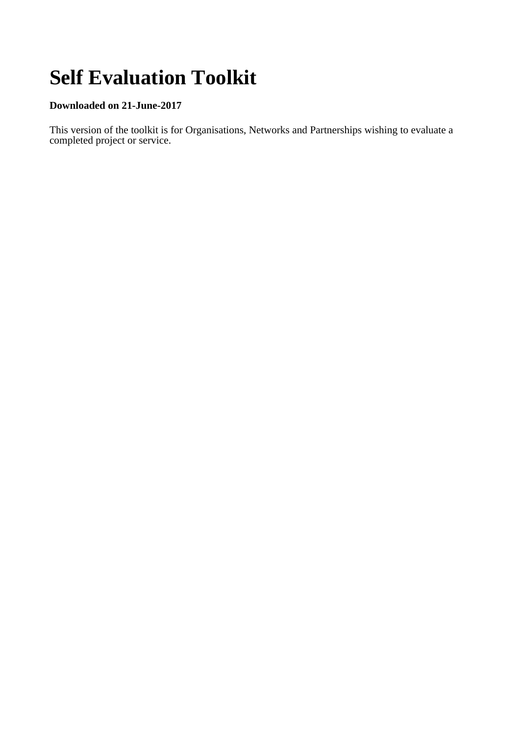# **Self Evaluation Toolkit**

# **Downloaded on 21-June-2017**

This version of the toolkit is for Organisations, Networks and Partnerships wishing to evaluate a completed project or service.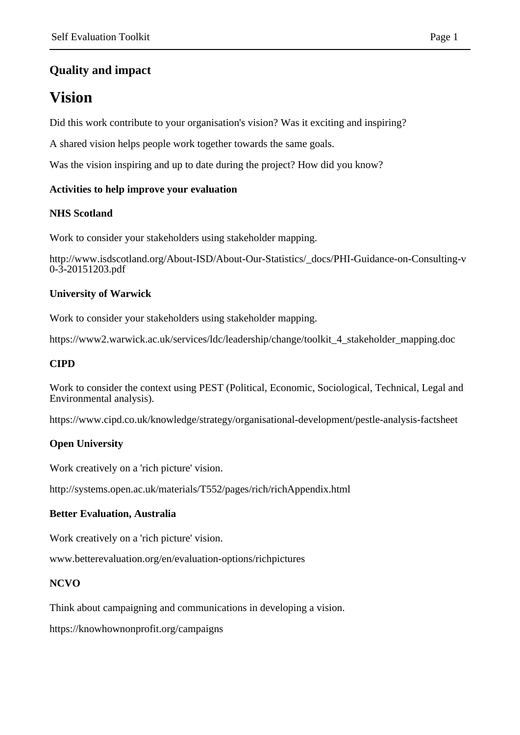# **Vision**

Did this work contribute to your organisation's vision? Was it exciting and inspiring?

A shared vision helps people work together towards the same goals.

Was the vision inspiring and up to date during the project? How did you know?

## **Activities to help improve your evaluation**

# **NHS Scotland**

Work to consider your stakeholders using stakeholder mapping.

http://www.isdscotland.org/About-ISD/About-Our-Statistics/\_docs/PHI-Guidance-on-Consulting-v 0-3-20151203.pdf

## **University of Warwick**

Work to consider your stakeholders using stakeholder mapping.

https://www2.warwick.ac.uk/services/ldc/leadership/change/toolkit\_4\_stakeholder\_mapping.doc

## **CIPD**

Work to consider the context using PEST (Political, Economic, Sociological, Technical, Legal and Environmental analysis).

https://www.cipd.co.uk/knowledge/strategy/organisational-development/pestle-analysis-factsheet

#### **Open University**

Work creatively on a 'rich picture' vision.

http://systems.open.ac.uk/materials/T552/pages/rich/richAppendix.html

#### **Better Evaluation, Australia**

Work creatively on a 'rich picture' vision.

www.betterevaluation.org/en/evaluation-options/richpictures

#### **NCVO**

Think about campaigning and communications in developing a vision.

https://knowhownonprofit.org/campaigns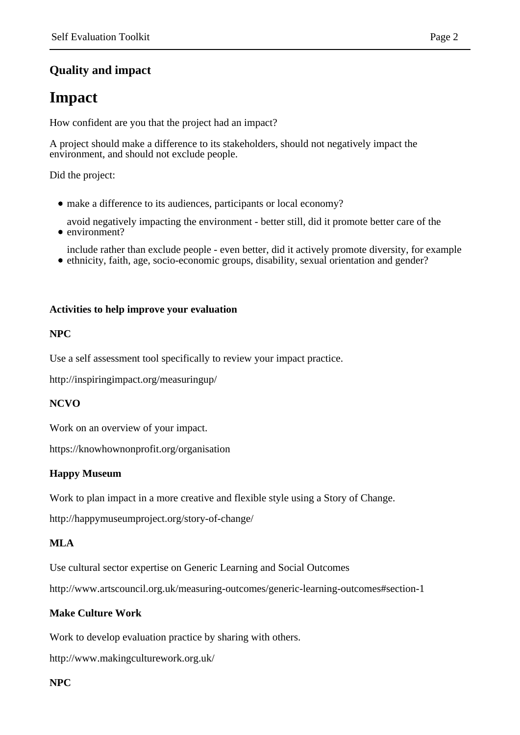# **Impact**

How confident are you that the project had an impact?

A project should make a difference to its stakeholders, should not negatively impact the environment, and should not exclude people.

Did the project:

make a difference to its audiences, participants or local economy?

avoid negatively impacting the environment - better still, did it promote better care of the

- environment?
- include rather than exclude people even better, did it actively promote diversity, for example ethnicity, faith, age, socio-economic groups, disability, sexual orientation and gender?

# **Activities to help improve your evaluation**

# **NPC**

Use a self assessment tool specifically to review your impact practice.

http://inspiringimpact.org/measuringup/

# **NCVO**

Work on an overview of your impact.

https://knowhownonprofit.org/organisation

# **Happy Museum**

Work to plan impact in a more creative and flexible style using a Story of Change.

http://happymuseumproject.org/story-of-change/

# **MLA**

Use cultural sector expertise on Generic Learning and Social Outcomes

http://www.artscouncil.org.uk/measuring-outcomes/generic-learning-outcomes#section-1

#### **Make Culture Work**

Work to develop evaluation practice by sharing with others.

http://www.makingculturework.org.uk/

# **NPC**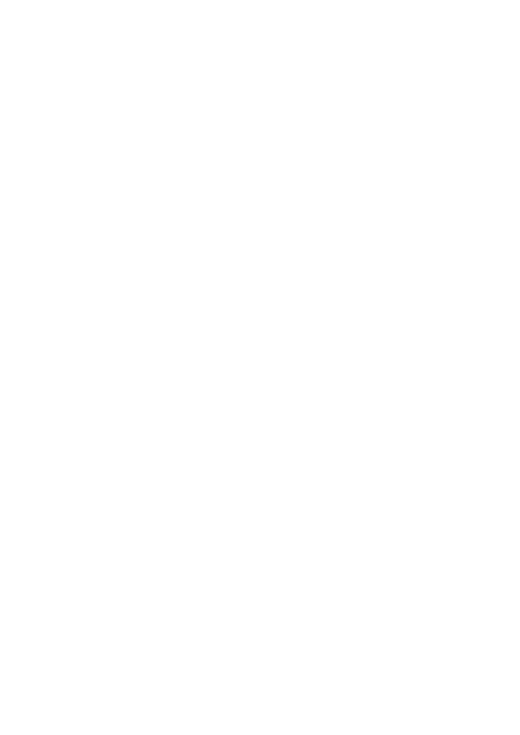http://www.thinknpc.org/our-work/our-services/theory-of-change/

# **Culture Case**

Use cultural research for general evidence of impact.

www.culturecase.org

# **Happy Museum**

67

http://happymuseumproject.org/resources/tools/

# **Social Value UK**

http://www.socialvalueuk.org/

# **NEF, Charities Evaluation Service.**

http://www.proveandimprove.org/

# **Arts Enterprise with a Social Purpose (Aesop)**

http://www.ae-sop.org/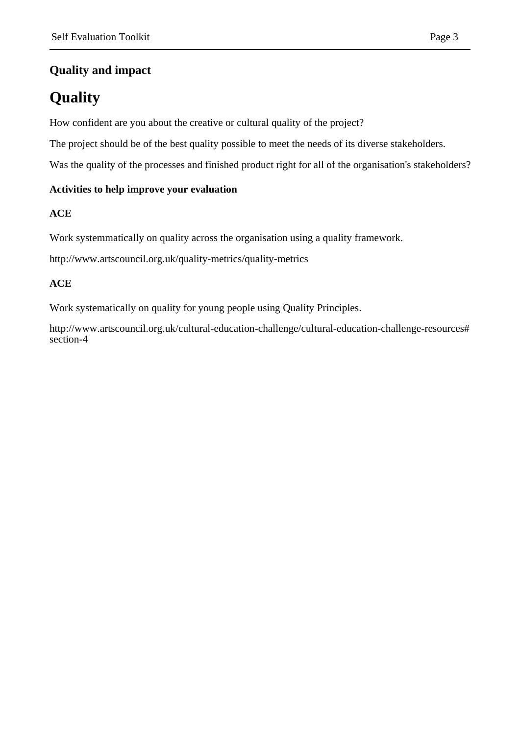# **Quality**

How confident are you about the creative or cultural quality of the project?

The project should be of the best quality possible to meet the needs of its diverse stakeholders.

Was the quality of the processes and finished product right for all of the organisation's stakeholders?

## **Activities to help improve your evaluation**

# **ACE**

Work systemmatically on quality across the organisation using a quality framework.

http://www.artscouncil.org.uk/quality-metrics/quality-metrics

# **ACE**

Work systematically on quality for young people using Quality Principles.

http://www.artscouncil.org.uk/cultural-education-challenge/cultural-education-challenge-resources# section-4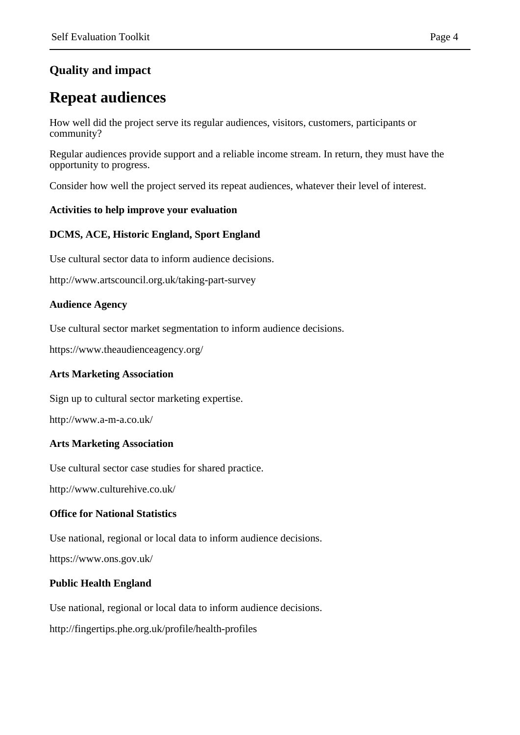# **Repeat audiences**

How well did the project serve its regular audiences, visitors, customers, participants or community?

Regular audiences provide support and a reliable income stream. In return, they must have the opportunity to progress.

Consider how well the project served its repeat audiences, whatever their level of interest.

## **Activities to help improve your evaluation**

# **DCMS, ACE, Historic England, Sport England**

Use cultural sector data to inform audience decisions.

http://www.artscouncil.org.uk/taking-part-survey

## **Audience Agency**

Use cultural sector market segmentation to inform audience decisions.

https://www.theaudienceagency.org/

#### **Arts Marketing Association**

Sign up to cultural sector marketing expertise.

http://www.a-m-a.co.uk/

#### **Arts Marketing Association**

Use cultural sector case studies for shared practice.

http://www.culturehive.co.uk/

#### **Office for National Statistics**

Use national, regional or local data to inform audience decisions.

https://www.ons.gov.uk/

#### **Public Health England**

Use national, regional or local data to inform audience decisions.

http://fingertips.phe.org.uk/profile/health-profiles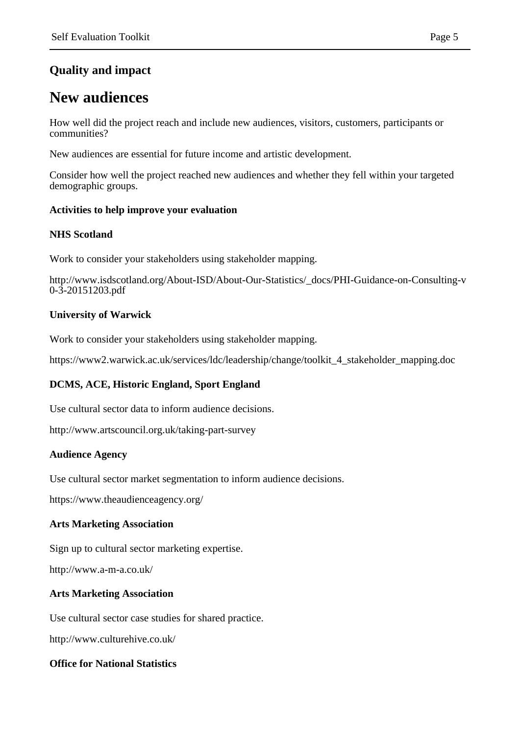# **New audiences**

How well did the project reach and include new audiences, visitors, customers, participants or communities?

New audiences are essential for future income and artistic development.

Consider how well the project reached new audiences and whether they fell within your targeted demographic groups.

#### **Activities to help improve your evaluation**

## **NHS Scotland**

Work to consider your stakeholders using stakeholder mapping.

http://www.isdscotland.org/About-ISD/About-Our-Statistics/\_docs/PHI-Guidance-on-Consulting-v 0-3-20151203.pdf

## **University of Warwick**

Work to consider your stakeholders using stakeholder mapping.

https://www2.warwick.ac.uk/services/ldc/leadership/change/toolkit\_4\_stakeholder\_mapping.doc

# **DCMS, ACE, Historic England, Sport England**

Use cultural sector data to inform audience decisions.

http://www.artscouncil.org.uk/taking-part-survey

#### **Audience Agency**

Use cultural sector market segmentation to inform audience decisions.

https://www.theaudienceagency.org/

#### **Arts Marketing Association**

Sign up to cultural sector marketing expertise.

http://www.a-m-a.co.uk/

#### **Arts Marketing Association**

Use cultural sector case studies for shared practice.

http://www.culturehive.co.uk/

#### **Office for National Statistics**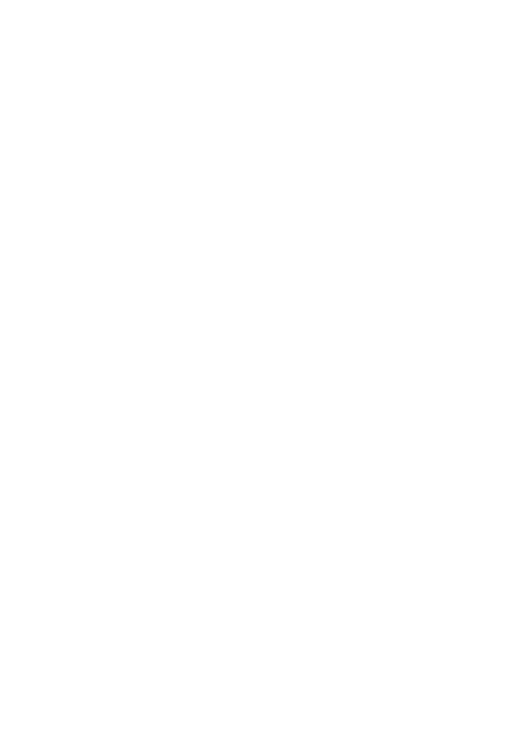https://www.ons.gov.uk/

## **Public Health England**

Use national, regional or local data to inform audience decisions.

http://fingertips.phe.org.uk/profile/health-profiles

# **CIPD (Ansoff)**

Use risk management expertise whilst deciding how to develop new audiences.

http://www.conceptdraw.com/examples/marketing-matrix-and-schedules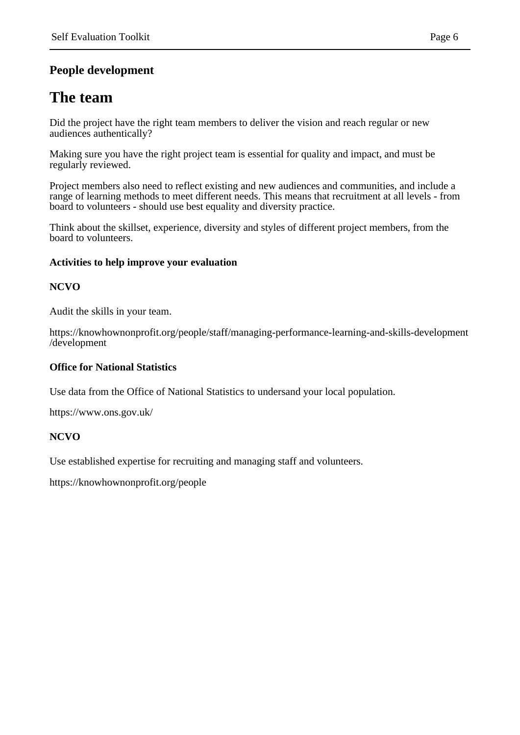# **The team**

Did the project have the right team members to deliver the vision and reach regular or new audiences authentically?

Making sure you have the right project team is essential for quality and impact, and must be regularly reviewed.

Project members also need to reflect existing and new audiences and communities, and include a range of learning methods to meet different needs. This means that recruitment at all levels - from board to volunteers - should use best equality and diversity practice.

Think about the skillset, experience, diversity and styles of different project members, from the board to volunteers.

#### **Activities to help improve your evaluation**

#### **NCVO**

Audit the skills in your team.

https://knowhownonprofit.org/people/staff/managing-performance-learning-and-skills-development /development

#### **Office for National Statistics**

Use data from the Office of National Statistics to undersand your local population.

https://www.ons.gov.uk/

#### **NCVO**

Use established expertise for recruiting and managing staff and volunteers.

https://knowhownonprofit.org/people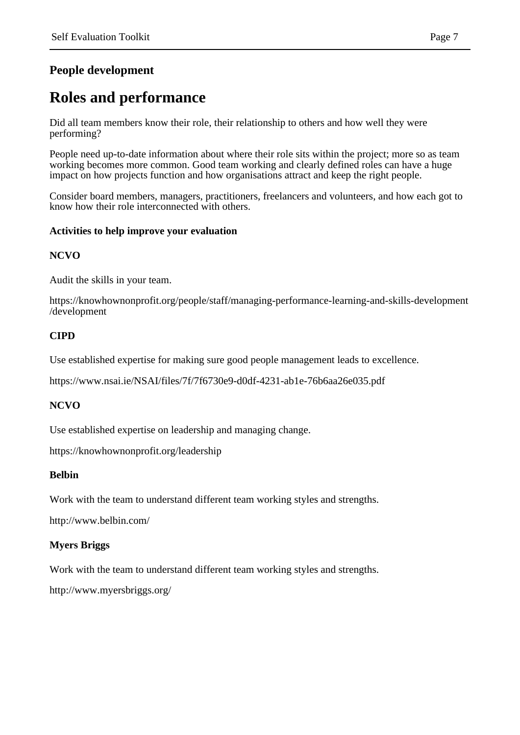# **Roles and performance**

Did all team members know their role, their relationship to others and how well they were performing?

People need up-to-date information about where their role sits within the project; more so as team working becomes more common. Good team working and clearly defined roles can have a huge impact on how projects function and how organisations attract and keep the right people.

Consider board members, managers, practitioners, freelancers and volunteers, and how each got to know how their role interconnected with others.

#### **Activities to help improve your evaluation**

# **NCVO**

Audit the skills in your team.

https://knowhownonprofit.org/people/staff/managing-performance-learning-and-skills-development /development

## **CIPD**

Use established expertise for making sure good people management leads to excellence.

https://www.nsai.ie/NSAI/files/7f/7f6730e9-d0df-4231-ab1e-76b6aa26e035.pdf

#### **NCVO**

Use established expertise on leadership and managing change.

https://knowhownonprofit.org/leadership

#### **Belbin**

Work with the team to understand different team working styles and strengths.

http://www.belbin.com/

#### **Myers Briggs**

Work with the team to understand different team working styles and strengths.

http://www.myersbriggs.org/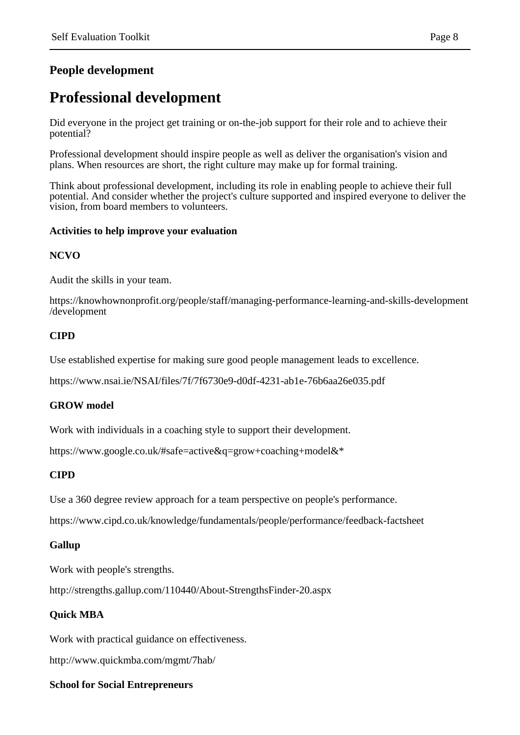# **Professional development**

Did everyone in the project get training or on-the-job support for their role and to achieve their potential?

Professional development should inspire people as well as deliver the organisation's vision and plans. When resources are short, the right culture may make up for formal training.

Think about professional development, including its role in enabling people to achieve their full potential. And consider whether the project's culture supported and inspired everyone to deliver the vision, from board members to volunteers.

#### **Activities to help improve your evaluation**

# **NCVO**

Audit the skills in your team.

https://knowhownonprofit.org/people/staff/managing-performance-learning-and-skills-development /development

## **CIPD**

Use established expertise for making sure good people management leads to excellence.

https://www.nsai.ie/NSAI/files/7f/7f6730e9-d0df-4231-ab1e-76b6aa26e035.pdf

#### **GROW model**

Work with individuals in a coaching style to support their development.

https://www.google.co.uk/#safe=active&q=grow+coaching+model&\*

#### **CIPD**

Use a 360 degree review approach for a team perspective on people's performance.

https://www.cipd.co.uk/knowledge/fundamentals/people/performance/feedback-factsheet

#### **Gallup**

Work with people's strengths.

http://strengths.gallup.com/110440/About-StrengthsFinder-20.aspx

# **Quick MBA**

Work with practical guidance on effectiveness.

http://www.quickmba.com/mgmt/7hab/

#### **School for Social Entrepreneurs**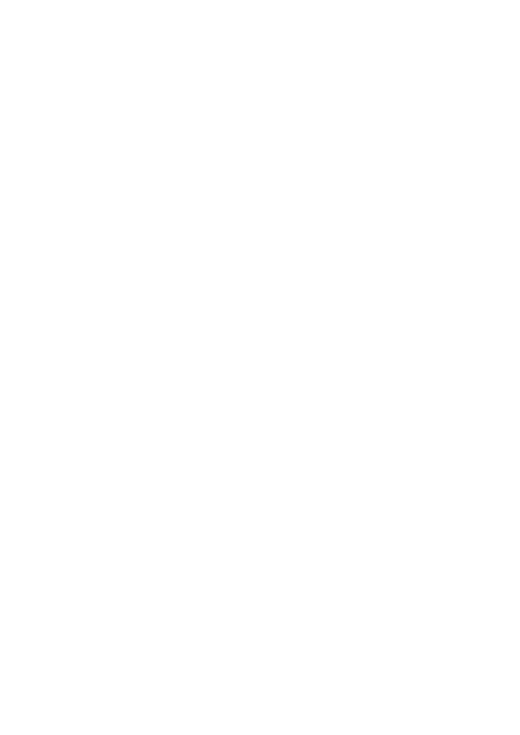https://www.the-sse.org/

# **ACEVO**

Sign up to leadership support.

https://www.acevo.org.uk/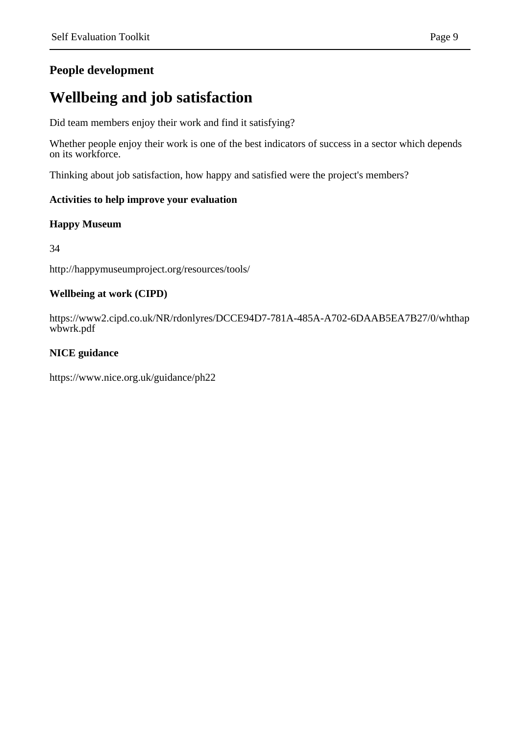# **Wellbeing and job satisfaction**

Did team members enjoy their work and find it satisfying?

Whether people enjoy their work is one of the best indicators of success in a sector which depends on its workforce.

Thinking about job satisfaction, how happy and satisfied were the project's members?

## **Activities to help improve your evaluation**

## **Happy Museum**

34

http://happymuseumproject.org/resources/tools/

## **Wellbeing at work (CIPD)**

https://www2.cipd.co.uk/NR/rdonlyres/DCCE94D7-781A-485A-A702-6DAAB5EA7B27/0/whthap wbwrk.pdf

## **NICE guidance**

https://www.nice.org.uk/guidance/ph22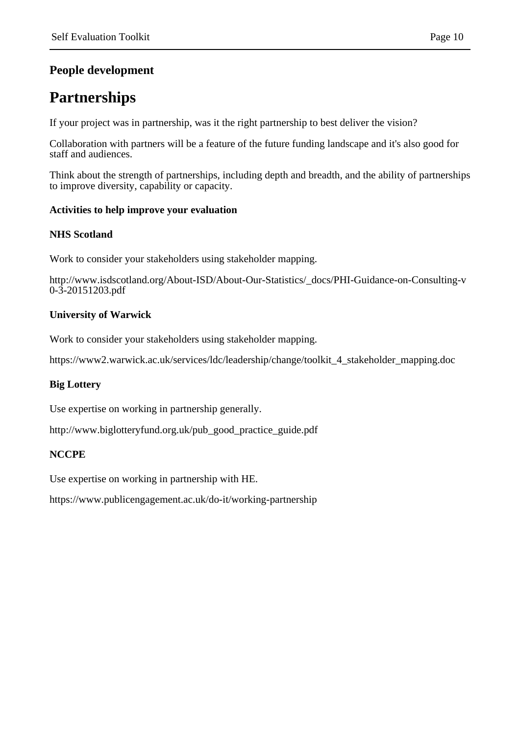# **Partnerships**

If your project was in partnership, was it the right partnership to best deliver the vision?

Collaboration with partners will be a feature of the future funding landscape and it's also good for staff and audiences.

Think about the strength of partnerships, including depth and breadth, and the ability of partnerships to improve diversity, capability or capacity.

## **Activities to help improve your evaluation**

# **NHS Scotland**

Work to consider your stakeholders using stakeholder mapping.

http://www.isdscotland.org/About-ISD/About-Our-Statistics/\_docs/PHI-Guidance-on-Consulting-v 0-3-20151203.pdf

## **University of Warwick**

Work to consider your stakeholders using stakeholder mapping.

https://www2.warwick.ac.uk/services/ldc/leadership/change/toolkit\_4\_stakeholder\_mapping.doc

# **Big Lottery**

Use expertise on working in partnership generally.

http://www.biglotteryfund.org.uk/pub\_good\_practice\_guide.pdf

#### **NCCPE**

Use expertise on working in partnership with HE.

https://www.publicengagement.ac.uk/do-it/working-partnership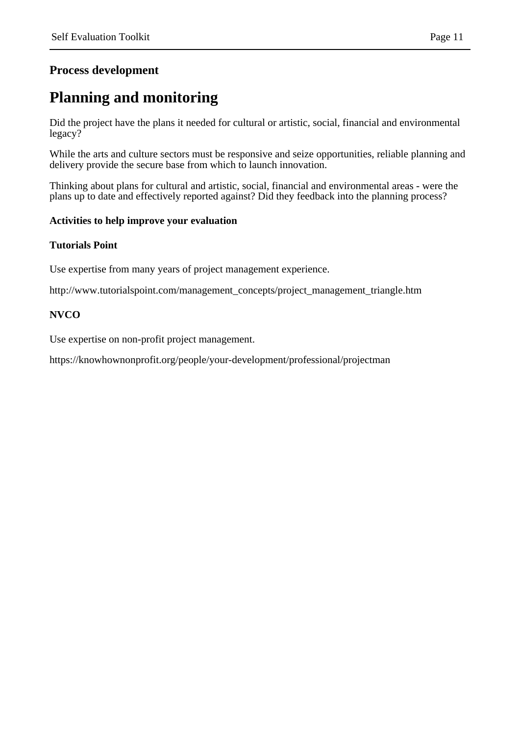# **Planning and monitoring**

Did the project have the plans it needed for cultural or artistic, social, financial and environmental legacy?

While the arts and culture sectors must be responsive and seize opportunities, reliable planning and delivery provide the secure base from which to launch innovation.

Thinking about plans for cultural and artistic, social, financial and environmental areas - were the plans up to date and effectively reported against? Did they feedback into the planning process?

#### **Activities to help improve your evaluation**

#### **Tutorials Point**

Use expertise from many years of project management experience.

http://www.tutorialspoint.com/management\_concepts/project\_management\_triangle.htm

#### **NVCO**

Use expertise on non-profit project management.

https://knowhownonprofit.org/people/your-development/professional/projectman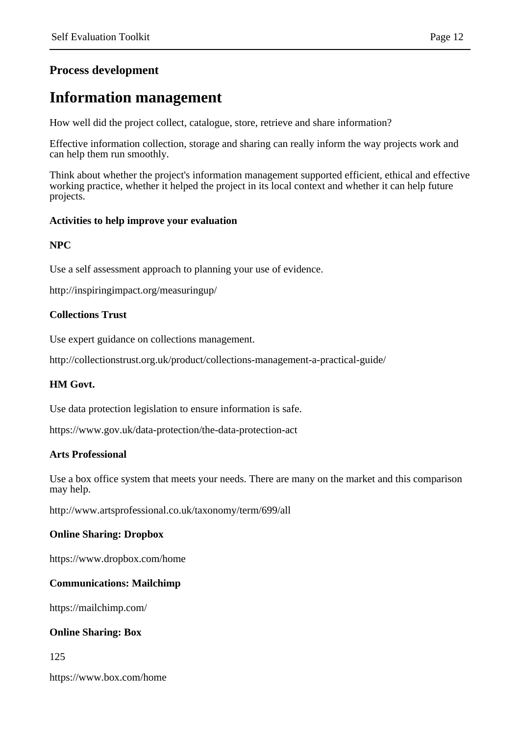# **Information management**

How well did the project collect, catalogue, store, retrieve and share information?

Effective information collection, storage and sharing can really inform the way projects work and can help them run smoothly.

Think about whether the project's information management supported efficient, ethical and effective working practice, whether it helped the project in its local context and whether it can help future projects.

#### **Activities to help improve your evaluation**

#### **NPC**

Use a self assessment approach to planning your use of evidence.

http://inspiringimpact.org/measuringup/

#### **Collections Trust**

Use expert guidance on collections management.

http://collectionstrust.org.uk/product/collections-management-a-practical-guide/

#### **HM Govt.**

Use data protection legislation to ensure information is safe.

https://www.gov.uk/data-protection/the-data-protection-act

#### **Arts Professional**

Use a box office system that meets your needs. There are many on the market and this comparison may help.

http://www.artsprofessional.co.uk/taxonomy/term/699/all

#### **Online Sharing: Dropbox**

https://www.dropbox.com/home

#### **Communications: Mailchimp**

https://mailchimp.com/

#### **Online Sharing: Box**

125

https://www.box.com/home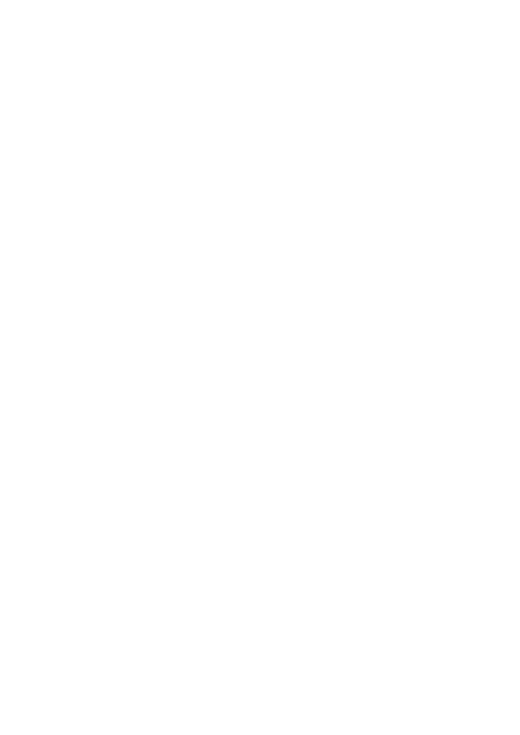https://www.surveymonkey.co.uk/

# **Database: Artifax**

http://www.artifax.net/

# **Database: CivicCRM**

https://civicrm.org

# **Database: Lamplight**

http://www.lamplightdb.co.uk

# **Online Conferencing: Skype**

https://www.skype.com

# **Online Conferencing: Google Hangout**

https://hangouts.google.com/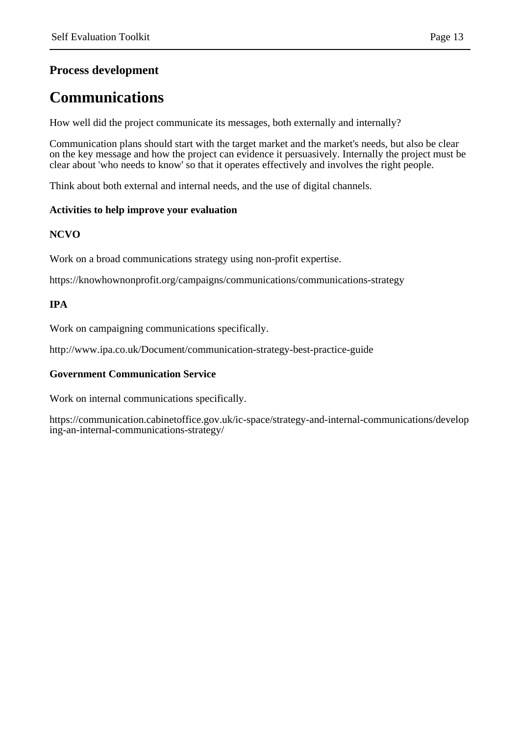# **Communications**

How well did the project communicate its messages, both externally and internally?

Communication plans should start with the target market and the market's needs, but also be clear on the key message and how the project can evidence it persuasively. Internally the project must be clear about 'who needs to know' so that it operates effectively and involves the right people.

Think about both external and internal needs, and the use of digital channels.

#### **Activities to help improve your evaluation**

# **NCVO**

Work on a broad communications strategy using non-profit expertise.

https://knowhownonprofit.org/campaigns/communications/communications-strategy

# **IPA**

Work on campaigning communications specifically.

http://www.ipa.co.uk/Document/communication-strategy-best-practice-guide

#### **Government Communication Service**

Work on internal communications specifically.

https://communication.cabinetoffice.gov.uk/ic-space/strategy-and-internal-communications/develop ing-an-internal-communications-strategy/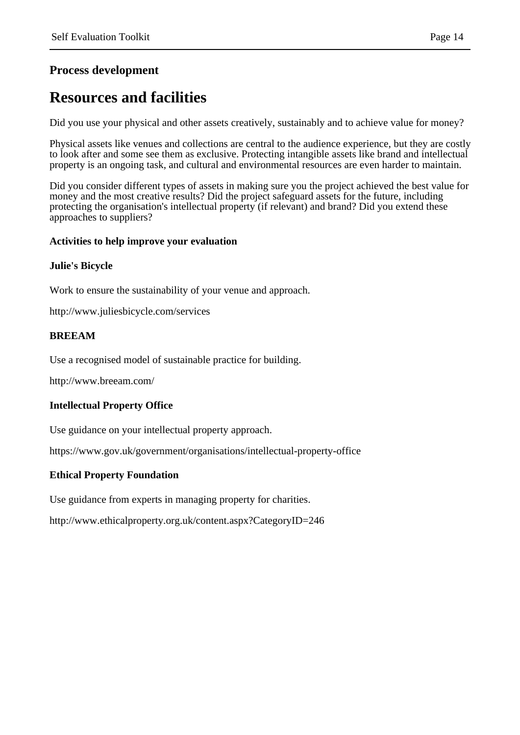# **Resources and facilities**

Did you use your physical and other assets creatively, sustainably and to achieve value for money?

Physical assets like venues and collections are central to the audience experience, but they are costly to look after and some see them as exclusive. Protecting intangible assets like brand and intellectual property is an ongoing task, and cultural and environmental resources are even harder to maintain.

Did you consider different types of assets in making sure you the project achieved the best value for money and the most creative results? Did the project safeguard assets for the future, including protecting the organisation's intellectual property (if relevant) and brand? Did you extend these approaches to suppliers?

#### **Activities to help improve your evaluation**

#### **Julie's Bicycle**

Work to ensure the sustainability of your venue and approach.

http://www.juliesbicycle.com/services

#### **BREEAM**

Use a recognised model of sustainable practice for building.

http://www.breeam.com/

#### **Intellectual Property Office**

Use guidance on your intellectual property approach.

https://www.gov.uk/government/organisations/intellectual-property-office

#### **Ethical Property Foundation**

Use guidance from experts in managing property for charities.

http://www.ethicalproperty.org.uk/content.aspx?CategoryID=246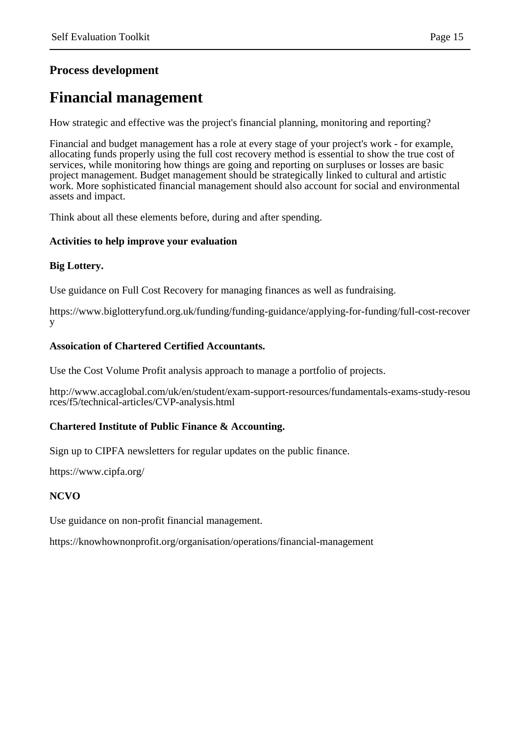# **Financial management**

How strategic and effective was the project's financial planning, monitoring and reporting?

Financial and budget management has a role at every stage of your project's work - for example, allocating funds properly using the full cost recovery method is essential to show the true cost of services, while monitoring how things are going and reporting on surpluses or losses are basic project management. Budget management should be strategically linked to cultural and artistic work. More sophisticated financial management should also account for social and environmental assets and impact.

Think about all these elements before, during and after spending.

#### **Activities to help improve your evaluation**

#### **Big Lottery.**

Use guidance on Full Cost Recovery for managing finances as well as fundraising.

https://www.biglotteryfund.org.uk/funding/funding-guidance/applying-for-funding/full-cost-recover y

#### **Assoication of Chartered Certified Accountants.**

Use the Cost Volume Profit analysis approach to manage a portfolio of projects.

http://www.accaglobal.com/uk/en/student/exam-support-resources/fundamentals-exams-study-resou rces/f5/technical-articles/CVP-analysis.html

#### **Chartered Institute of Public Finance & Accounting.**

Sign up to CIPFA newsletters for regular updates on the public finance.

https://www.cipfa.org/

#### **NCVO**

Use guidance on non-profit financial management.

https://knowhownonprofit.org/organisation/operations/financial-management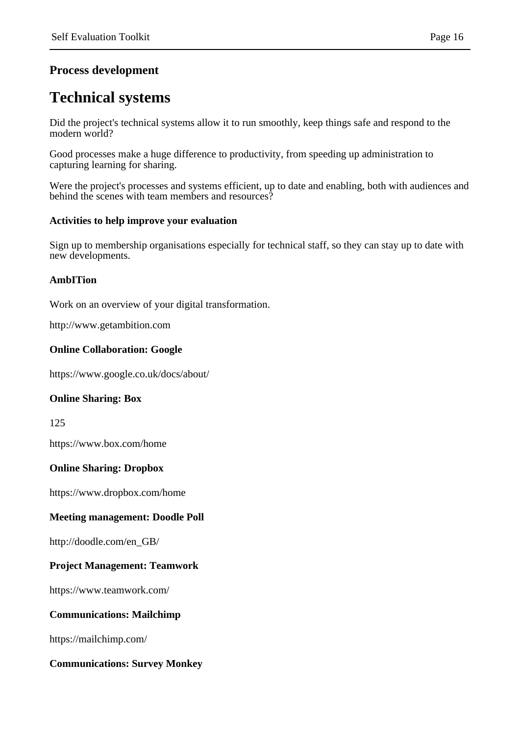# **Technical systems**

Did the project's technical systems allow it to run smoothly, keep things safe and respond to the modern world?

Good processes make a huge difference to productivity, from speeding up administration to capturing learning for sharing.

Were the project's processes and systems efficient, up to date and enabling, both with audiences and behind the scenes with team members and resources?

#### **Activities to help improve your evaluation**

Sign up to membership organisations especially for technical staff, so they can stay up to date with new developments.

#### **AmbITion**

Work on an overview of your digital transformation.

http://www.getambition.com

#### **Online Collaboration: Google**

https://www.google.co.uk/docs/about/

#### **Online Sharing: Box**

125

https://www.box.com/home

#### **Online Sharing: Dropbox**

https://www.dropbox.com/home

#### **Meeting management: Doodle Poll**

http://doodle.com/en\_GB/

#### **Project Management: Teamwork**

https://www.teamwork.com/

#### **Communications: Mailchimp**

https://mailchimp.com/

#### **Communications: Survey Monkey**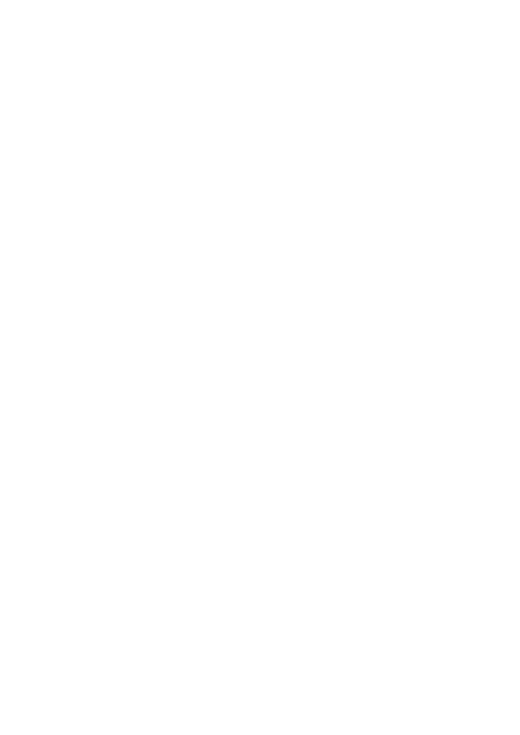#### **Project Management: Basecamp**

https://basecamp.com/

## **Project Management: SmartSheet**

https://www.smartsheet.com/

#### **Database: Artifax**

http://www.artifax.net/

#### **Database: CivicCRM**

https://civicrm.org

#### **Database: Lamplight**

http://www.lamplightdb.co.uk

#### **Database: Tessitura**

http://welcome.tessituranetwork.com/?gclid=Cj0KEQjwiI3HBRDv0q\_qhqXZ-N4BEiQAOTiCHgN rms6zFcazGaRIB3A6wKH\_mVv6C9nm5UPw9S1gLBYaArNS8P8HAQ

#### **Online Conferencing: Skype**

https://www.skype.com

#### **Online Conferencing: Google Hangout**

https://hangouts.google.com/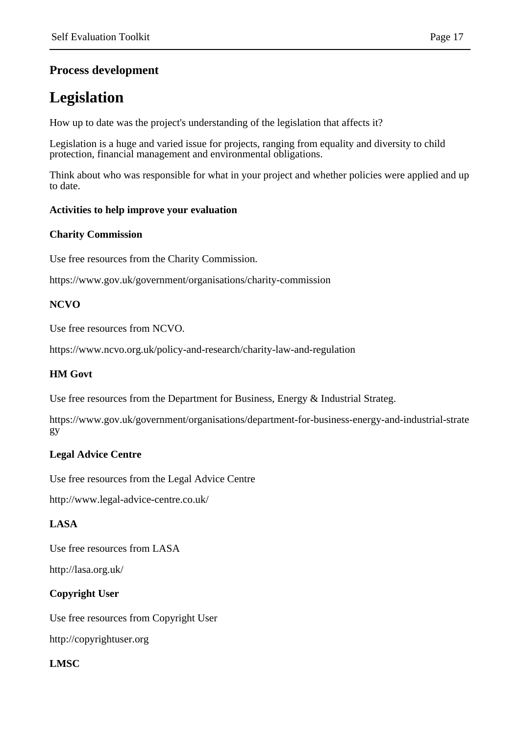# **Legislation**

How up to date was the project's understanding of the legislation that affects it?

Legislation is a huge and varied issue for projects, ranging from equality and diversity to child protection, financial management and environmental obligations.

Think about who was responsible for what in your project and whether policies were applied and up to date.

## **Activities to help improve your evaluation**

## **Charity Commission**

Use free resources from the Charity Commission.

https://www.gov.uk/government/organisations/charity-commission

# **NCVO**

Use free resources from NCVO.

https://www.ncvo.org.uk/policy-and-research/charity-law-and-regulation

## **HM Govt**

Use free resources from the Department for Business, Energy & Industrial Strateg.

https://www.gov.uk/government/organisations/department-for-business-energy-and-industrial-strate gy

#### **Legal Advice Centre**

Use free resources from the Legal Advice Centre

http://www.legal-advice-centre.co.uk/

# **LASA**

Use free resources from LASA

http://lasa.org.uk/

# **Copyright User**

Use free resources from Copyright User

http://copyrightuser.org

# **LMSC**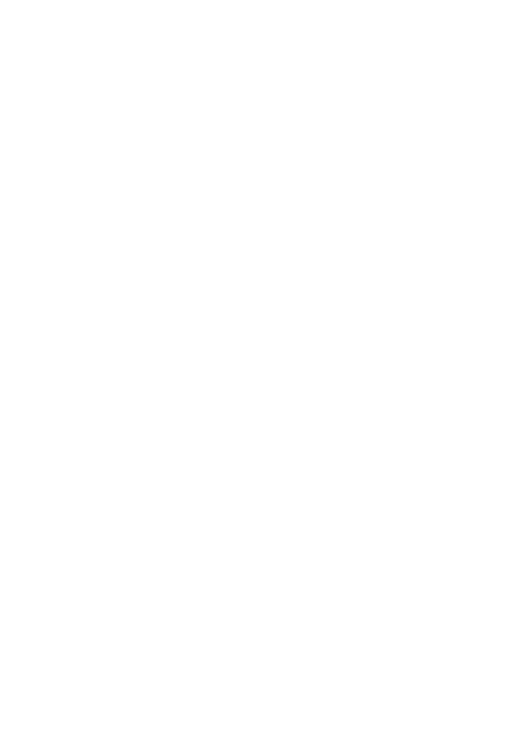http://www.lmsconline.org/

# **FSB**

Sign up to the Federation of Small Businesses.

http://www.fsb.org.uk/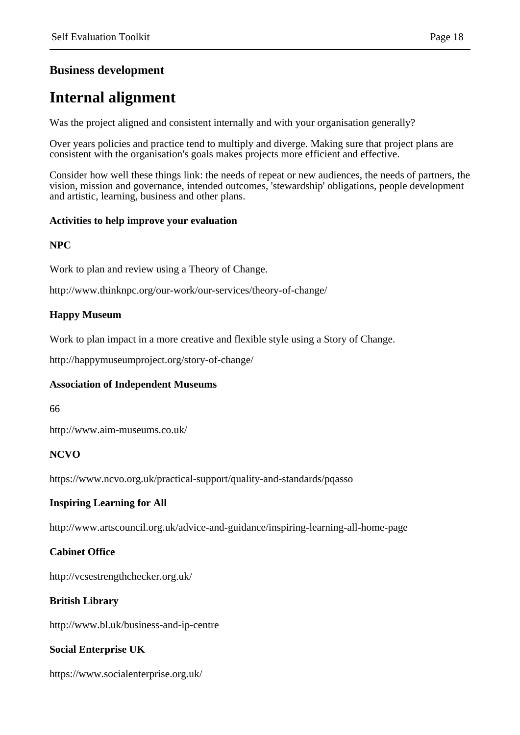# **Internal alignment**

Was the project aligned and consistent internally and with your organisation generally?

Over years policies and practice tend to multiply and diverge. Making sure that project plans are consistent with the organisation's goals makes projects more efficient and effective.

Consider how well these things link: the needs of repeat or new audiences, the needs of partners, the vision, mission and governance, intended outcomes, 'stewardship' obligations, people development and artistic, learning, business and other plans.

## **Activities to help improve your evaluation**

# **NPC**

Work to plan and review using a Theory of Change.

http://www.thinknpc.org/our-work/our-services/theory-of-change/

## **Happy Museum**

Work to plan impact in a more creative and flexible style using a Story of Change.

http://happymuseumproject.org/story-of-change/

# **Association of Independent Museums**

66

http://www.aim-museums.co.uk/

# **NCVO**

https://www.ncvo.org.uk/practical-support/quality-and-standards/pqasso

#### **Inspiring Learning for All**

http://www.artscouncil.org.uk/advice-and-guidance/inspiring-learning-all-home-page

# **Cabinet Office**

http://vcsestrengthchecker.org.uk/

#### **British Library**

http://www.bl.uk/business-and-ip-centre

# **Social Enterprise UK**

https://www.socialenterprise.org.uk/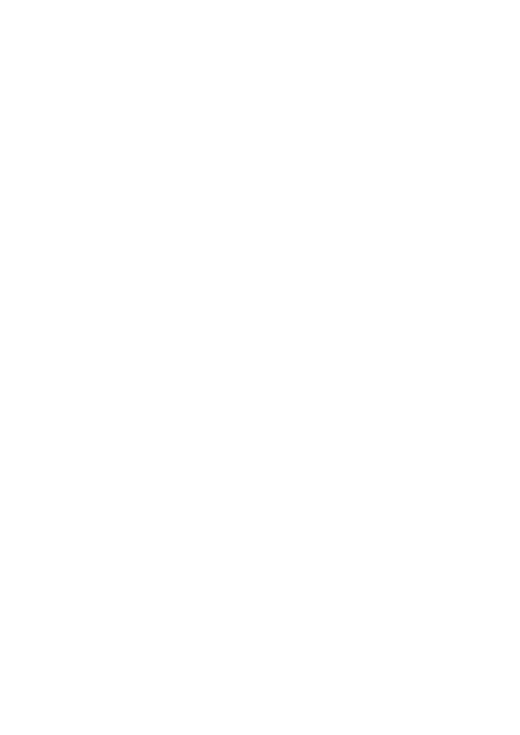Work in a large organisation towards international standards.

```
https://www.iso.org/files/live/sites/isoorg/files/archive/pdf/en/iso_9000_selection_and_use-2009.pd
f
```
# **Mindtools**

Use systematic approaches to decision making.

https://www.mindtools.com/pages/main/newMN\_TED.htm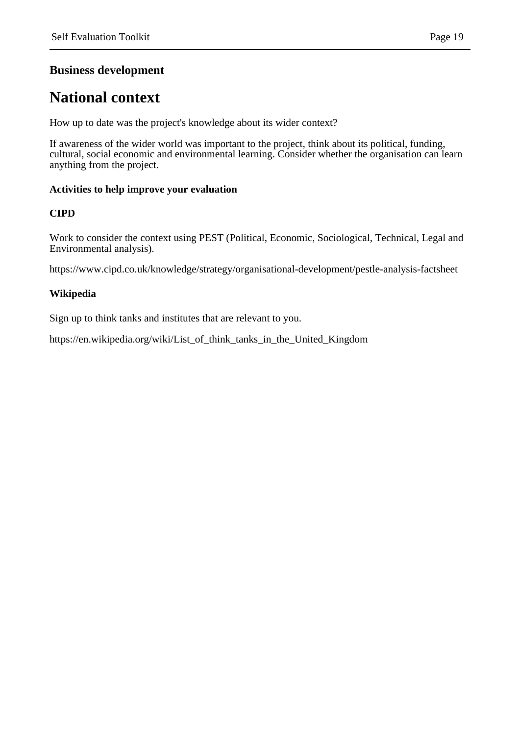# **National context**

How up to date was the project's knowledge about its wider context?

If awareness of the wider world was important to the project, think about its political, funding, cultural, social economic and environmental learning. Consider whether the organisation can learn anything from the project.

#### **Activities to help improve your evaluation**

## **CIPD**

Work to consider the context using PEST (Political, Economic, Sociological, Technical, Legal and Environmental analysis).

https://www.cipd.co.uk/knowledge/strategy/organisational-development/pestle-analysis-factsheet

## **Wikipedia**

Sign up to think tanks and institutes that are relevant to you.

https://en.wikipedia.org/wiki/List\_of\_think\_tanks\_in\_the\_United\_Kingdom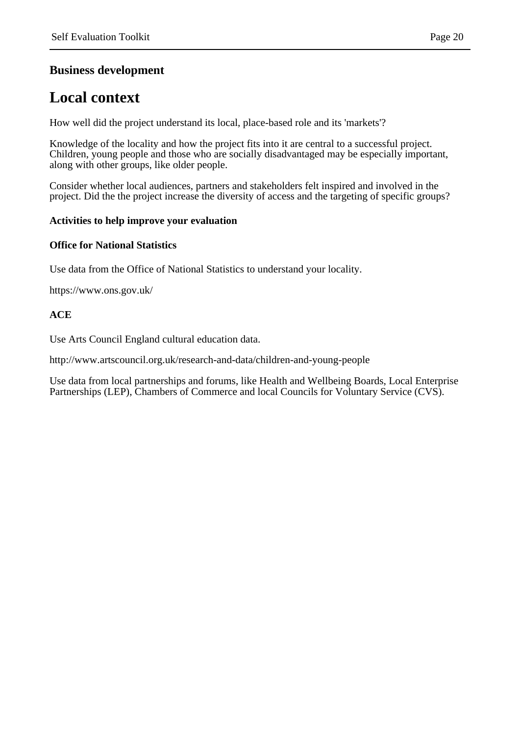# **Local context**

How well did the project understand its local, place-based role and its 'markets'?

Knowledge of the locality and how the project fits into it are central to a successful project. Children, young people and those who are socially disadvantaged may be especially important, along with other groups, like older people.

Consider whether local audiences, partners and stakeholders felt inspired and involved in the project. Did the the project increase the diversity of access and the targeting of specific groups?

#### **Activities to help improve your evaluation**

#### **Office for National Statistics**

Use data from the Office of National Statistics to understand your locality.

https://www.ons.gov.uk/

#### **ACE**

Use Arts Council England cultural education data.

http://www.artscouncil.org.uk/research-and-data/children-and-young-people

Use data from local partnerships and forums, like Health and Wellbeing Boards, Local Enterprise Partnerships (LEP), Chambers of Commerce and local Councils for Voluntary Service (CVS).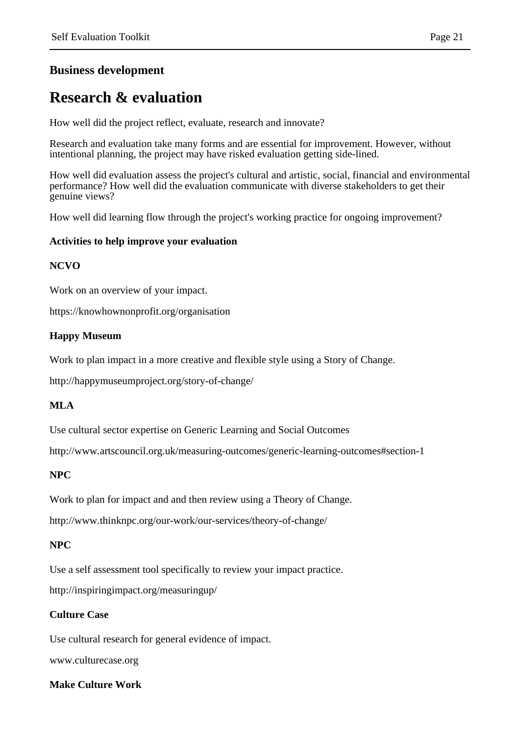# **Research & evaluation**

How well did the project reflect, evaluate, research and innovate?

Research and evaluation take many forms and are essential for improvement. However, without intentional planning, the project may have risked evaluation getting side-lined.

How well did evaluation assess the project's cultural and artistic, social, financial and environmental performance? How well did the evaluation communicate with diverse stakeholders to get their genuine views?

How well did learning flow through the project's working practice for ongoing improvement?

#### **Activities to help improve your evaluation**

## **NCVO**

Work on an overview of your impact.

https://knowhownonprofit.org/organisation

#### **Happy Museum**

Work to plan impact in a more creative and flexible style using a Story of Change.

http://happymuseumproject.org/story-of-change/

#### **MLA**

Use cultural sector expertise on Generic Learning and Social Outcomes

http://www.artscouncil.org.uk/measuring-outcomes/generic-learning-outcomes#section-1

#### **NPC**

Work to plan for impact and and then review using a Theory of Change.

http://www.thinknpc.org/our-work/our-services/theory-of-change/

#### **NPC**

Use a self assessment tool specifically to review your impact practice.

http://inspiringimpact.org/measuringup/

# **Culture Case**

Use cultural research for general evidence of impact.

www.culturecase.org

# **Make Culture Work**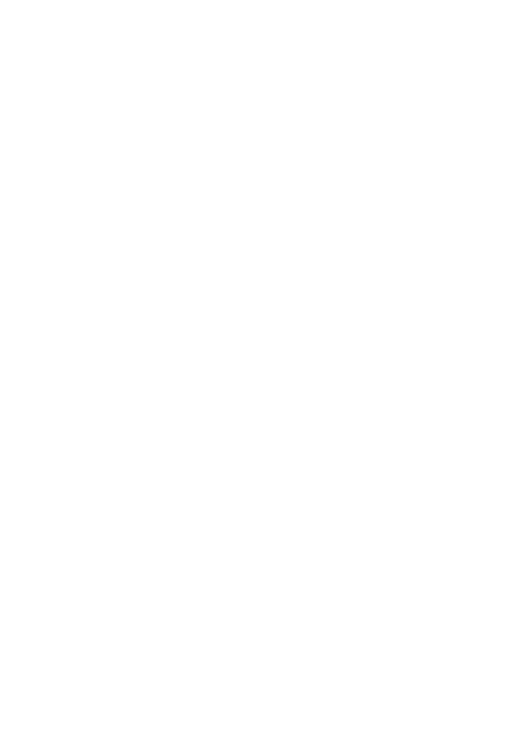http://www.makingculturework.org.uk/

# **Happy Museum**

# 67

http://happymuseumproject.org/resources/tools/

# **Arts Enterprise with a Social Purpose (Aesop)**

http://www.ae-sop.org/

# **Social Value UK**

http://www.socialvalueuk.org/

# **NEF, Charities Evaluation Service.**

http://www.proveandimprove.org/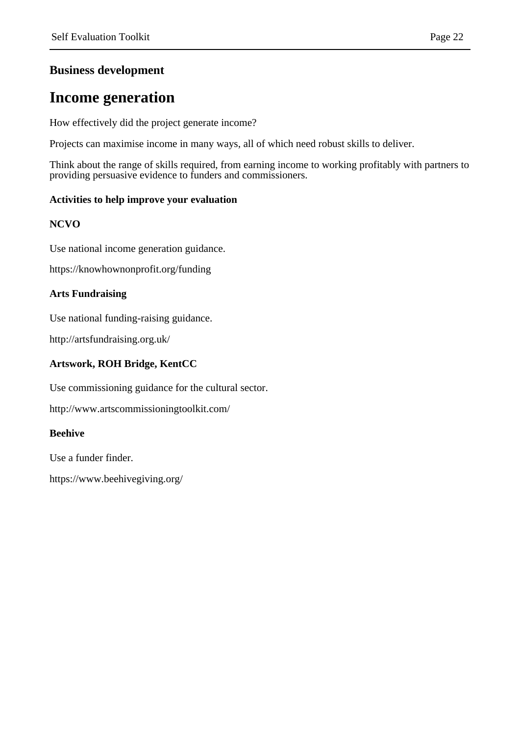# **Income generation**

How effectively did the project generate income?

Projects can maximise income in many ways, all of which need robust skills to deliver.

Think about the range of skills required, from earning income to working profitably with partners to providing persuasive evidence to funders and commissioners.

# **Activities to help improve your evaluation**

# **NCVO**

Use national income generation guidance.

https://knowhownonprofit.org/funding

# **Arts Fundraising**

Use national funding-raising guidance.

http://artsfundraising.org.uk/

# **Artswork, ROH Bridge, KentCC**

Use commissioning guidance for the cultural sector.

http://www.artscommissioningtoolkit.com/

# **Beehive**

Use a funder finder.

https://www.beehivegiving.org/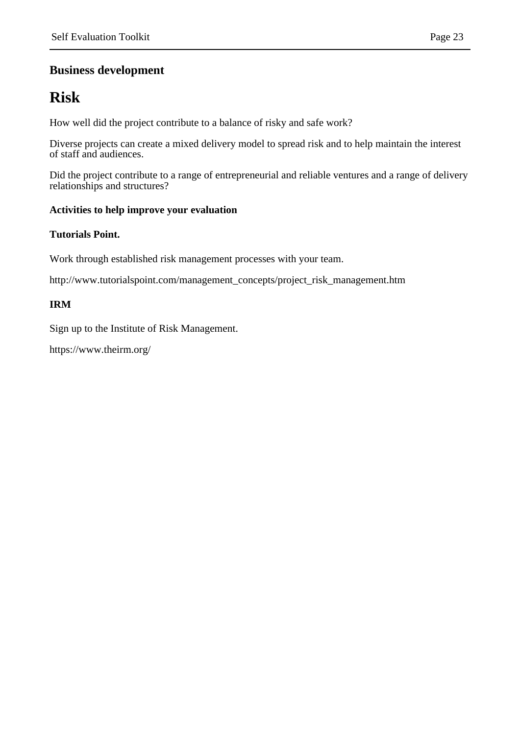# **Risk**

How well did the project contribute to a balance of risky and safe work?

Diverse projects can create a mixed delivery model to spread risk and to help maintain the interest of staff and audiences.

Did the project contribute to a range of entrepreneurial and reliable ventures and a range of delivery relationships and structures?

# **Activities to help improve your evaluation**

# **Tutorials Point.**

Work through established risk management processes with your team.

http://www.tutorialspoint.com/management\_concepts/project\_risk\_management.htm

# **IRM**

Sign up to the Institute of Risk Management.

https://www.theirm.org/